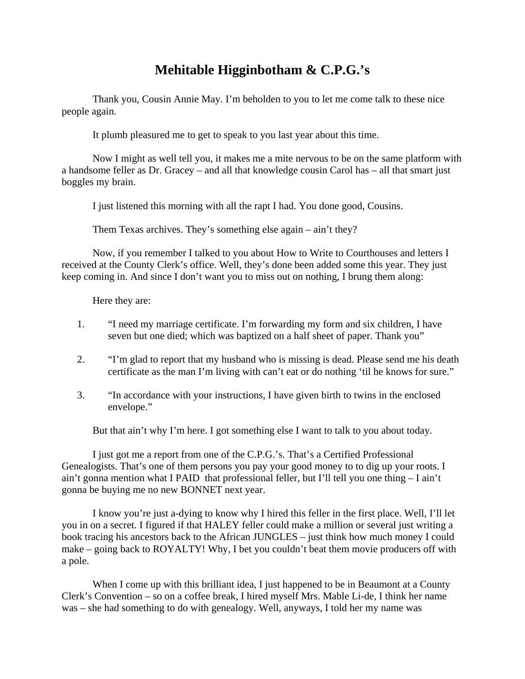## **Mehitable Higginbotham & C.P.G.'s**

 Thank you, Cousin Annie May. I'm beholden to you to let me come talk to these nice people again.

It plumb pleasured me to get to speak to you last year about this time.

 Now I might as well tell you, it makes me a mite nervous to be on the same platform with a handsome feller as Dr. Gracey – and all that knowledge cousin Carol has – all that smart just boggles my brain.

I just listened this morning with all the rapt I had. You done good, Cousins.

Them Texas archives. They's something else again – ain't they?

 Now, if you remember I talked to you about How to Write to Courthouses and letters I received at the County Clerk's office. Well, they's done been added some this year. They just keep coming in. And since I don't want you to miss out on nothing, I brung them along:

Here they are:

- 1. "I need my marriage certificate. I'm forwarding my form and six children, I have seven but one died; which was baptized on a half sheet of paper. Thank you"
- 2. "I'm glad to report that my husband who is missing is dead. Please send me his death certificate as the man I'm living with can't eat or do nothing 'til he knows for sure."
- 3. "In accordance with your instructions, I have given birth to twins in the enclosed envelope."

But that ain't why I'm here. I got something else I want to talk to you about today.

I just got me a report from one of the C.P.G.'s. That's a Certified Professional Genealogists. That's one of them persons you pay your good money to to dig up your roots. I ain't gonna mention what I PAID that professional feller, but I'll tell you one thing – I ain't gonna be buying me no new BONNET next year.

 I know you're just a-dying to know why I hired this feller in the first place. Well, I'll let you in on a secret. I figured if that HALEY feller could make a million or several just writing a book tracing his ancestors back to the African JUNGLES – just think how much money I could make – going back to ROYALTY! Why, I bet you couldn't beat them movie producers off with a pole.

When I come up with this brilliant idea, I just happened to be in Beaumont at a County Clerk's Convention – so on a coffee break, I hired myself Mrs. Mable Li-de, I think her name was – she had something to do with genealogy. Well, anyways, I told her my name was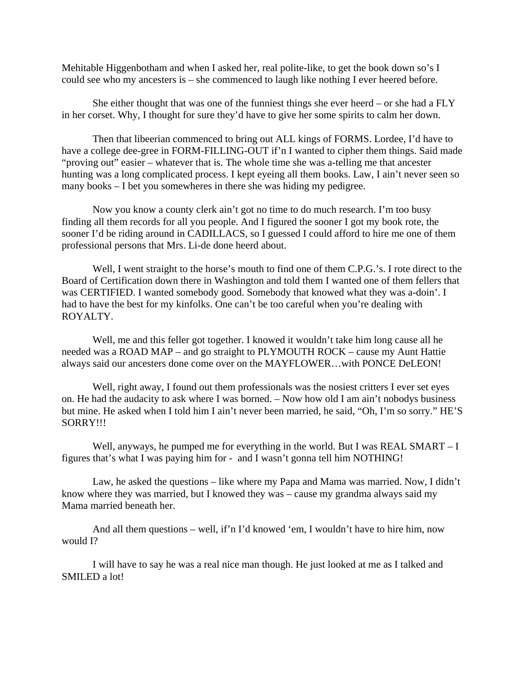Mehitable Higgenbotham and when I asked her, real polite-like, to get the book down so's I could see who my ancesters is – she commenced to laugh like nothing I ever heered before.

 She either thought that was one of the funniest things she ever heerd – or she had a FLY in her corset. Why, I thought for sure they'd have to give her some spirits to calm her down.

 Then that libeerian commenced to bring out ALL kings of FORMS. Lordee, I'd have to have a college dee-gree in FORM-FILLING-OUT if'n I wanted to cipher them things. Said made "proving out" easier – whatever that is. The whole time she was a-telling me that ancester hunting was a long complicated process. I kept eyeing all them books. Law, I ain't never seen so many books – I bet you somewheres in there she was hiding my pedigree.

 Now you know a county clerk ain't got no time to do much research. I'm too busy finding all them records for all you people. And I figured the sooner I got my book rote, the sooner I'd be riding around in CADILLACS, so I guessed I could afford to hire me one of them professional persons that Mrs. Li-de done heerd about.

Well, I went straight to the horse's mouth to find one of them C.P.G.'s. I rote direct to the Board of Certification down there in Washington and told them I wanted one of them fellers that was CERTIFIED. I wanted somebody good. Somebody that knowed what they was a-doin'. I had to have the best for my kinfolks. One can't be too careful when you're dealing with ROYALTY.

 Well, me and this feller got together. I knowed it wouldn't take him long cause all he needed was a ROAD MAP – and go straight to PLYMOUTH ROCK – cause my Aunt Hattie always said our ancesters done come over on the MAYFLOWER…with PONCE DeLEON!

Well, right away, I found out them professionals was the nosiest critters I ever set eyes on. He had the audacity to ask where I was borned. – Now how old I am ain't nobodys business but mine. He asked when I told him I ain't never been married, he said, "Oh, I'm so sorry." HE'S SORRY!!!

Well, anyways, he pumped me for everything in the world. But I was REAL SMART – I figures that's what I was paying him for - and I wasn't gonna tell him NOTHING!

Law, he asked the questions – like where my Papa and Mama was married. Now, I didn't know where they was married, but I knowed they was – cause my grandma always said my Mama married beneath her.

 And all them questions – well, if'n I'd knowed 'em, I wouldn't have to hire him, now would I?

 I will have to say he was a real nice man though. He just looked at me as I talked and SMILED a lot!